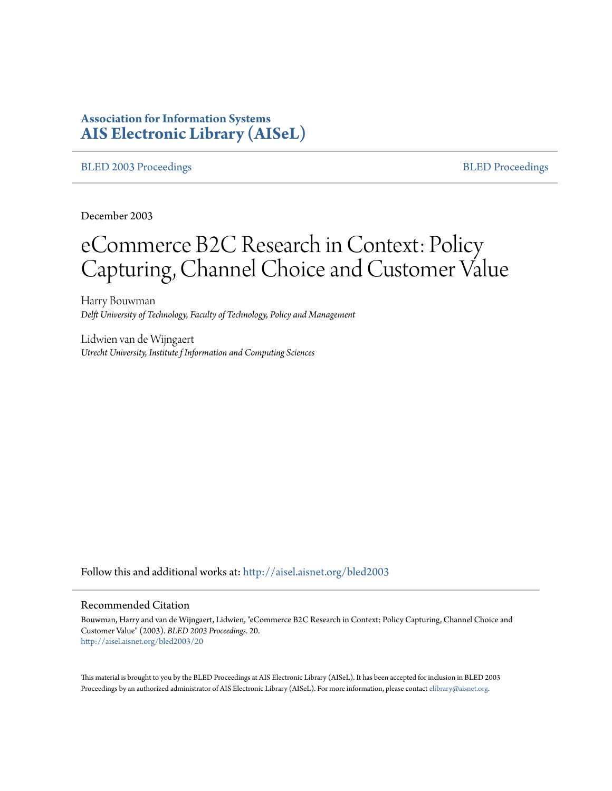# **Association for Information Systems [AIS Electronic Library \(AISeL\)](http://aisel.aisnet.org?utm_source=aisel.aisnet.org%2Fbled2003%2F20&utm_medium=PDF&utm_campaign=PDFCoverPages)**

#### [BLED 2003 Proceedings](http://aisel.aisnet.org/bled2003?utm_source=aisel.aisnet.org%2Fbled2003%2F20&utm_medium=PDF&utm_campaign=PDFCoverPages) and the state of the state of the [BLED Proceedings](http://aisel.aisnet.org/bled?utm_source=aisel.aisnet.org%2Fbled2003%2F20&utm_medium=PDF&utm_campaign=PDFCoverPages) and the BLED Proceedings and the BLED Proceedings and the BLED Proceedings and the BLED Proceedings and the BLED Proceedings and the BLED Proceedings

December 2003

# eCommerce B2C Research in Context: Policy Capturing, Channel Choice and Customer Value

Harry Bouwman *Delft University of Technology, Faculty of Technology, Policy and Management*

Lidwien van de Wijngaert *Utrecht University, Institute f Information and Computing Sciences*

Follow this and additional works at: [http://aisel.aisnet.org/bled2003](http://aisel.aisnet.org/bled2003?utm_source=aisel.aisnet.org%2Fbled2003%2F20&utm_medium=PDF&utm_campaign=PDFCoverPages)

#### Recommended Citation

Bouwman, Harry and van de Wijngaert, Lidwien, "eCommerce B2C Research in Context: Policy Capturing, Channel Choice and Customer Value" (2003). *BLED 2003 Proceedings*. 20. [http://aisel.aisnet.org/bled2003/20](http://aisel.aisnet.org/bled2003/20?utm_source=aisel.aisnet.org%2Fbled2003%2F20&utm_medium=PDF&utm_campaign=PDFCoverPages)

This material is brought to you by the BLED Proceedings at AIS Electronic Library (AISeL). It has been accepted for inclusion in BLED 2003 Proceedings by an authorized administrator of AIS Electronic Library (AISeL). For more information, please contact [elibrary@aisnet.org](mailto:elibrary@aisnet.org%3E).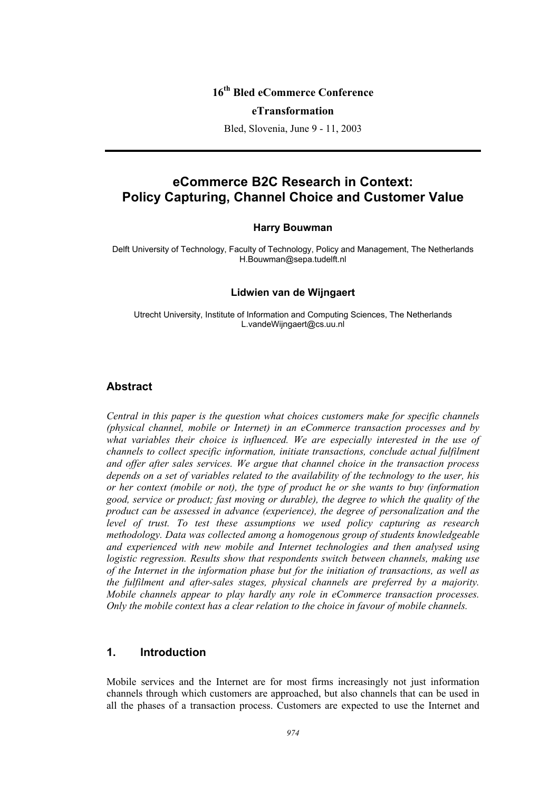# **16th Bled eCommerce Conference**

#### **eTransformation**

Bled, Slovenia, June 9 - 11, 2003

# **eCommerce B2C Research in Context: Policy Capturing, Channel Choice and Customer Value**

#### **Harry Bouwman**

Delft University of Technology, Faculty of Technology, Policy and Management, The Netherlands H.Bouwman@sepa.tudelft.nl

#### **Lidwien van de Wijngaert**

Utrecht University, Institute of Information and Computing Sciences, The Netherlands L.vandeWijngaert@cs.uu.nl

#### **Abstract**

*Central in this paper is the question what choices customers make for specific channels (physical channel, mobile or Internet) in an eCommerce transaction processes and by what variables their choice is influenced. We are especially interested in the use of channels to collect specific information, initiate transactions, conclude actual fulfilment and offer after sales services. We argue that channel choice in the transaction process depends on a set of variables related to the availability of the technology to the user, his or her context (mobile or not), the type of product he or she wants to buy (information good, service or product; fast moving or durable), the degree to which the quality of the product can be assessed in advance (experience), the degree of personalization and the level of trust. To test these assumptions we used policy capturing as research methodology. Data was collected among a homogenous group of students knowledgeable and experienced with new mobile and Internet technologies and then analysed using logistic regression. Results show that respondents switch between channels, making use of the Internet in the information phase but for the initiation of transactions, as well as the fulfilment and after-sales stages, physical channels are preferred by a majority. Mobile channels appear to play hardly any role in eCommerce transaction processes. Only the mobile context has a clear relation to the choice in favour of mobile channels.* 

#### **1. Introduction**

Mobile services and the Internet are for most firms increasingly not just information channels through which customers are approached, but also channels that can be used in all the phases of a transaction process. Customers are expected to use the Internet and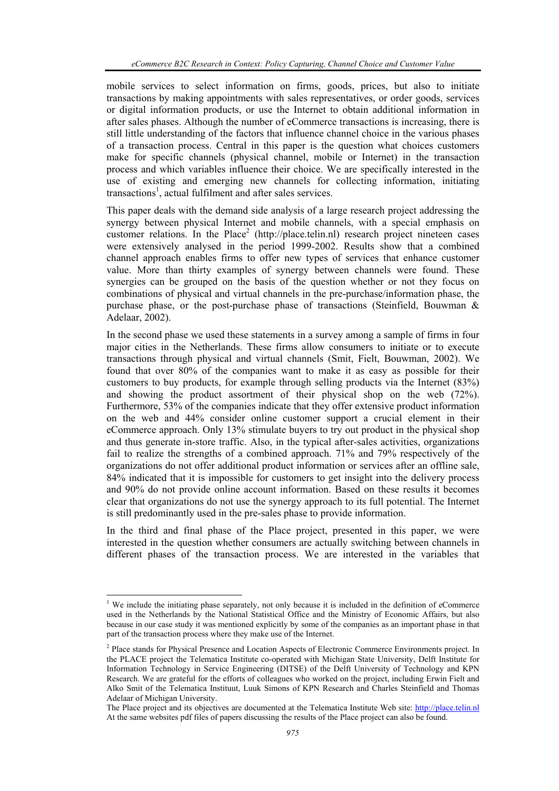mobile services to select information on firms, goods, prices, but also to initiate transactions by making appointments with sales representatives, or order goods, services or digital information products, or use the Internet to obtain additional information in after sales phases. Although the number of eCommerce transactions is increasing, there is still little understanding of the factors that influence channel choice in the various phases of a transaction process. Central in this paper is the question what choices customers make for specific channels (physical channel, mobile or Internet) in the transaction process and which variables influence their choice. We are specifically interested in the use of existing and emerging new channels for collecting information, initiating transactions<sup>1</sup>, actual fulfilment and after sales services.

This paper deals with the demand side analysis of a large research project addressing the synergy between physical Internet and mobile channels, with a special emphasis on customer relations. In the Place<sup>2</sup> (http://place.telin.nl) research project nineteen cases were extensively analysed in the period 1999-2002. Results show that a combined channel approach enables firms to offer new types of services that enhance customer value. More than thirty examples of synergy between channels were found. These synergies can be grouped on the basis of the question whether or not they focus on combinations of physical and virtual channels in the pre-purchase/information phase, the purchase phase, or the post-purchase phase of transactions (Steinfield, Bouwman & Adelaar, 2002).

In the second phase we used these statements in a survey among a sample of firms in four major cities in the Netherlands. These firms allow consumers to initiate or to execute transactions through physical and virtual channels (Smit, Fielt, Bouwman, 2002). We found that over 80% of the companies want to make it as easy as possible for their customers to buy products, for example through selling products via the Internet (83%) and showing the product assortment of their physical shop on the web (72%). Furthermore, 53% of the companies indicate that they offer extensive product information on the web and 44% consider online customer support a crucial element in their eCommerce approach. Only 13% stimulate buyers to try out product in the physical shop and thus generate in-store traffic. Also, in the typical after-sales activities, organizations fail to realize the strengths of a combined approach. 71% and 79% respectively of the organizations do not offer additional product information or services after an offline sale, 84% indicated that it is impossible for customers to get insight into the delivery process and 90% do not provide online account information. Based on these results it becomes clear that organizations do not use the synergy approach to its full potential. The Internet is still predominantly used in the pre-sales phase to provide information.

In the third and final phase of the Place project, presented in this paper, we were interested in the question whether consumers are actually switching between channels in different phases of the transaction process. We are interested in the variables that

l

<sup>&</sup>lt;sup>1</sup> We include the initiating phase separately, not only because it is included in the definition of eCommerce used in the Netherlands by the National Statistical Office and the Ministry of Economic Affairs, but also because in our case study it was mentioned explicitly by some of the companies as an important phase in that part of the transaction process where they make use of the Internet.

<sup>&</sup>lt;sup>2</sup> Place stands for Physical Presence and Location Aspects of Electronic Commerce Environments project. In the PLACE project the Telematica Institute co-operated with Michigan State University, Delft Institute for Information Technology in Service Engineering (DITSE) of the Delft University of Technology and KPN Research. We are grateful for the efforts of colleagues who worked on the project, including Erwin Fielt and Alko Smit of the Telematica Instituut, Luuk Simons of KPN Research and Charles Steinfield and Thomas Adelaar of Michigan University.

The Place project and its objectives are documented at the Telematica Institute Web site: http://place.telin.nl At the same websites pdf files of papers discussing the results of the Place project can also be found.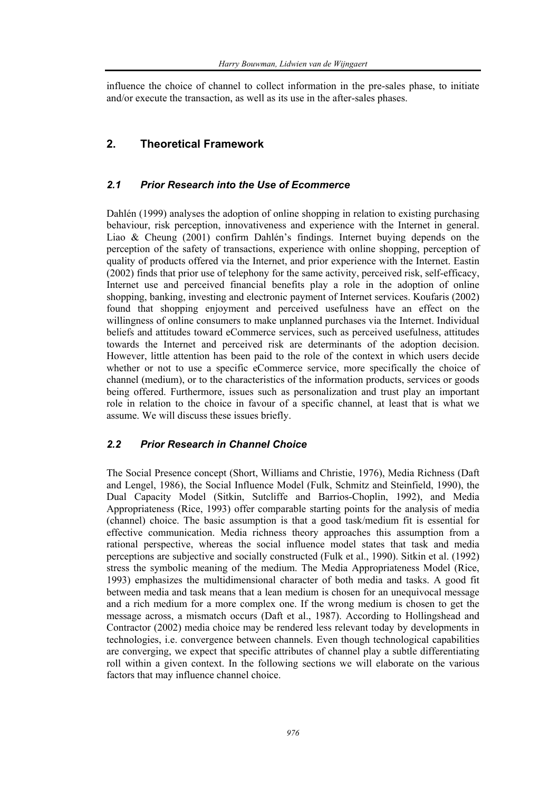influence the choice of channel to collect information in the pre-sales phase, to initiate and/or execute the transaction, as well as its use in the after-sales phases.

# **2. Theoretical Framework**

#### *2.1 Prior Research into the Use of Ecommerce*

Dahlén (1999) analyses the adoption of online shopping in relation to existing purchasing behaviour, risk perception, innovativeness and experience with the Internet in general. Liao & Cheung (2001) confirm Dahlén's findings. Internet buying depends on the perception of the safety of transactions, experience with online shopping, perception of quality of products offered via the Internet, and prior experience with the Internet. Eastin (2002) finds that prior use of telephony for the same activity, perceived risk, self-efficacy, Internet use and perceived financial benefits play a role in the adoption of online shopping, banking, investing and electronic payment of Internet services. Koufaris (2002) found that shopping enjoyment and perceived usefulness have an effect on the willingness of online consumers to make unplanned purchases via the Internet. Individual beliefs and attitudes toward eCommerce services, such as perceived usefulness, attitudes towards the Internet and perceived risk are determinants of the adoption decision. However, little attention has been paid to the role of the context in which users decide whether or not to use a specific eCommerce service, more specifically the choice of channel (medium), or to the characteristics of the information products, services or goods being offered. Furthermore, issues such as personalization and trust play an important role in relation to the choice in favour of a specific channel, at least that is what we assume. We will discuss these issues briefly.

### *2.2 Prior Research in Channel Choice*

The Social Presence concept (Short, Williams and Christie, 1976), Media Richness (Daft and Lengel, 1986), the Social Influence Model (Fulk, Schmitz and Steinfield, 1990), the Dual Capacity Model (Sitkin, Sutcliffe and Barrios-Choplin, 1992), and Media Appropriateness (Rice, 1993) offer comparable starting points for the analysis of media (channel) choice. The basic assumption is that a good task/medium fit is essential for effective communication. Media richness theory approaches this assumption from a rational perspective, whereas the social influence model states that task and media perceptions are subjective and socially constructed (Fulk et al., 1990). Sitkin et al. (1992) stress the symbolic meaning of the medium. The Media Appropriateness Model (Rice, 1993) emphasizes the multidimensional character of both media and tasks. A good fit between media and task means that a lean medium is chosen for an unequivocal message and a rich medium for a more complex one. If the wrong medium is chosen to get the message across, a mismatch occurs (Daft et al., 1987). According to Hollingshead and Contractor (2002) media choice may be rendered less relevant today by developments in technologies, i.e. convergence between channels. Even though technological capabilities are converging, we expect that specific attributes of channel play a subtle differentiating roll within a given context. In the following sections we will elaborate on the various factors that may influence channel choice.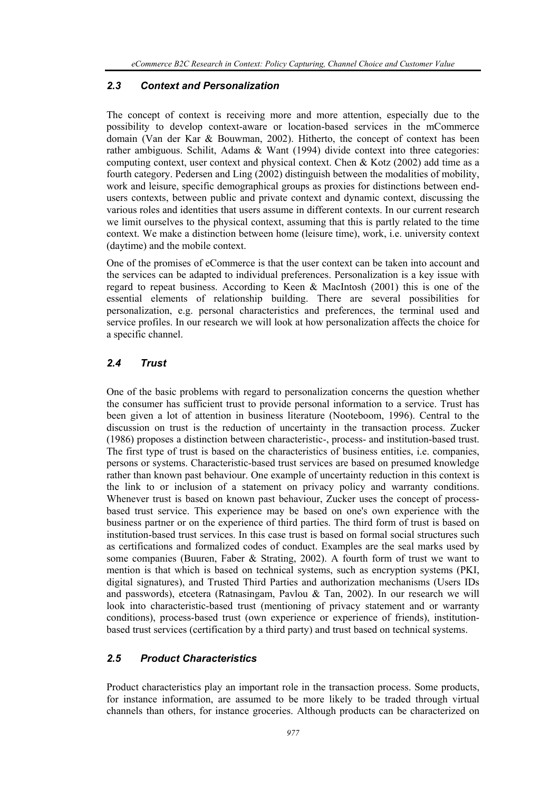#### *2.3 Context and Personalization*

The concept of context is receiving more and more attention, especially due to the possibility to develop context-aware or location-based services in the mCommerce domain (Van der Kar & Bouwman, 2002). Hitherto, the concept of context has been rather ambiguous. Schilit, Adams & Want (1994) divide context into three categories: computing context, user context and physical context. Chen & Kotz (2002) add time as a fourth category. Pedersen and Ling (2002) distinguish between the modalities of mobility, work and leisure, specific demographical groups as proxies for distinctions between endusers contexts, between public and private context and dynamic context, discussing the various roles and identities that users assume in different contexts. In our current research we limit ourselves to the physical context, assuming that this is partly related to the time context. We make a distinction between home (leisure time), work, i.e. university context (daytime) and the mobile context.

One of the promises of eCommerce is that the user context can be taken into account and the services can be adapted to individual preferences. Personalization is a key issue with regard to repeat business. According to Keen & MacIntosh (2001) this is one of the essential elements of relationship building. There are several possibilities for personalization, e.g. personal characteristics and preferences, the terminal used and service profiles. In our research we will look at how personalization affects the choice for a specific channel.

#### *2.4 Trust*

One of the basic problems with regard to personalization concerns the question whether the consumer has sufficient trust to provide personal information to a service. Trust has been given a lot of attention in business literature (Nooteboom, 1996). Central to the discussion on trust is the reduction of uncertainty in the transaction process. Zucker (1986) proposes a distinction between characteristic-, process- and institution-based trust. The first type of trust is based on the characteristics of business entities, i.e. companies, persons or systems. Characteristic-based trust services are based on presumed knowledge rather than known past behaviour. One example of uncertainty reduction in this context is the link to or inclusion of a statement on privacy policy and warranty conditions. Whenever trust is based on known past behaviour, Zucker uses the concept of processbased trust service. This experience may be based on one's own experience with the business partner or on the experience of third parties. The third form of trust is based on institution-based trust services. In this case trust is based on formal social structures such as certifications and formalized codes of conduct. Examples are the seal marks used by some companies (Buuren, Faber & Strating, 2002). A fourth form of trust we want to mention is that which is based on technical systems, such as encryption systems (PKI, digital signatures), and Trusted Third Parties and authorization mechanisms (Users IDs and passwords), etcetera (Ratnasingam, Pavlou & Tan, 2002). In our research we will look into characteristic-based trust (mentioning of privacy statement and or warranty conditions), process-based trust (own experience or experience of friends), institutionbased trust services (certification by a third party) and trust based on technical systems.

# *2.5 Product Characteristics*

Product characteristics play an important role in the transaction process. Some products, for instance information, are assumed to be more likely to be traded through virtual channels than others, for instance groceries. Although products can be characterized on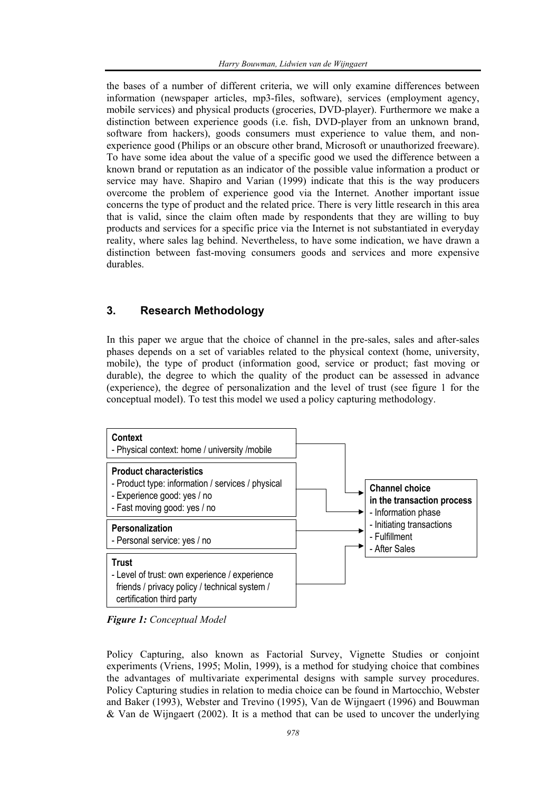the bases of a number of different criteria, we will only examine differences between information (newspaper articles, mp3-files, software), services (employment agency, mobile services) and physical products (groceries, DVD-player). Furthermore we make a distinction between experience goods (i.e. fish, DVD-player from an unknown brand, software from hackers), goods consumers must experience to value them, and nonexperience good (Philips or an obscure other brand, Microsoft or unauthorized freeware). To have some idea about the value of a specific good we used the difference between a known brand or reputation as an indicator of the possible value information a product or service may have. Shapiro and Varian (1999) indicate that this is the way producers overcome the problem of experience good via the Internet. Another important issue concerns the type of product and the related price. There is very little research in this area that is valid, since the claim often made by respondents that they are willing to buy products and services for a specific price via the Internet is not substantiated in everyday reality, where sales lag behind. Nevertheless, to have some indication, we have drawn a distinction between fast-moving consumers goods and services and more expensive durables.

### **3. Research Methodology**

In this paper we argue that the choice of channel in the pre-sales, sales and after-sales phases depends on a set of variables related to the physical context (home, university, mobile), the type of product (information good, service or product; fast moving or durable), the degree to which the quality of the product can be assessed in advance (experience), the degree of personalization and the level of trust (see figure 1 for the conceptual model). To test this model we used a policy capturing methodology.



*Figure 1: Conceptual Model* 

Policy Capturing, also known as Factorial Survey, Vignette Studies or conjoint experiments (Vriens, 1995; Molin, 1999), is a method for studying choice that combines the advantages of multivariate experimental designs with sample survey procedures. Policy Capturing studies in relation to media choice can be found in Martocchio, Webster and Baker (1993), Webster and Trevino (1995), Van de Wijngaert (1996) and Bouwman & Van de Wijngaert (2002). It is a method that can be used to uncover the underlying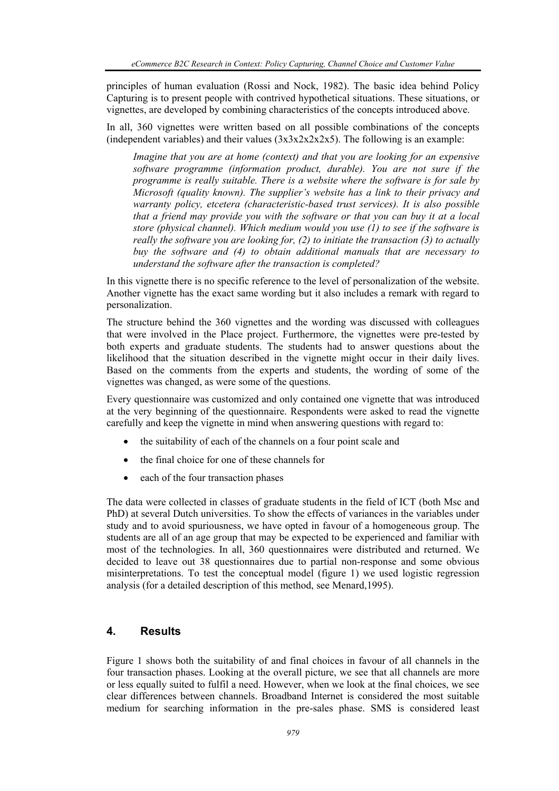principles of human evaluation (Rossi and Nock, 1982). The basic idea behind Policy Capturing is to present people with contrived hypothetical situations. These situations, or vignettes, are developed by combining characteristics of the concepts introduced above.

In all, 360 vignettes were written based on all possible combinations of the concepts (independent variables) and their values  $(3x3x2x2x2x5)$ . The following is an example:

*Imagine that you are at home (context) and that you are looking for an expensive software programme (information product, durable). You are not sure if the programme is really suitable. There is a website where the software is for sale by Microsoft (quality known). The supplier's website has a link to their privacy and warranty policy, etcetera (characteristic-based trust services). It is also possible that a friend may provide you with the software or that you can buy it at a local store (physical channel). Which medium would you use (1) to see if the software is really the software you are looking for, (2) to initiate the transaction (3) to actually buy the software and (4) to obtain additional manuals that are necessary to understand the software after the transaction is completed?* 

In this vignette there is no specific reference to the level of personalization of the website. Another vignette has the exact same wording but it also includes a remark with regard to personalization.

The structure behind the 360 vignettes and the wording was discussed with colleagues that were involved in the Place project. Furthermore, the vignettes were pre-tested by both experts and graduate students. The students had to answer questions about the likelihood that the situation described in the vignette might occur in their daily lives. Based on the comments from the experts and students, the wording of some of the vignettes was changed, as were some of the questions.

Every questionnaire was customized and only contained one vignette that was introduced at the very beginning of the questionnaire. Respondents were asked to read the vignette carefully and keep the vignette in mind when answering questions with regard to:

- the suitability of each of the channels on a four point scale and
- the final choice for one of these channels for
- each of the four transaction phases

The data were collected in classes of graduate students in the field of ICT (both Msc and PhD) at several Dutch universities. To show the effects of variances in the variables under study and to avoid spuriousness, we have opted in favour of a homogeneous group. The students are all of an age group that may be expected to be experienced and familiar with most of the technologies. In all, 360 questionnaires were distributed and returned. We decided to leave out 38 questionnaires due to partial non-response and some obvious misinterpretations. To test the conceptual model (figure 1) we used logistic regression analysis (for a detailed description of this method, see Menard,1995).

## **4. Results**

Figure 1 shows both the suitability of and final choices in favour of all channels in the four transaction phases. Looking at the overall picture, we see that all channels are more or less equally suited to fulfil a need. However, when we look at the final choices, we see clear differences between channels. Broadband Internet is considered the most suitable medium for searching information in the pre-sales phase. SMS is considered least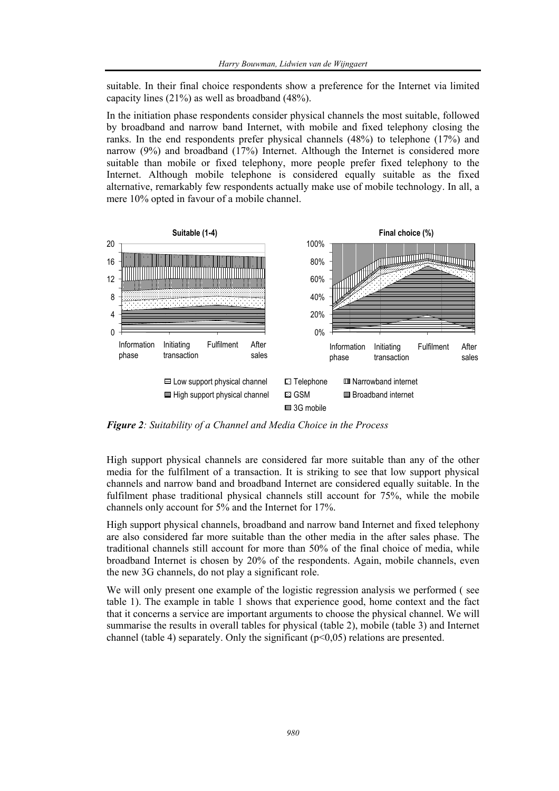suitable. In their final choice respondents show a preference for the Internet via limited capacity lines (21%) as well as broadband (48%).

In the initiation phase respondents consider physical channels the most suitable, followed by broadband and narrow band Internet, with mobile and fixed telephony closing the ranks. In the end respondents prefer physical channels  $(48%)$  to telephone  $(17%)$  and narrow (9%) and broadband (17%) Internet. Although the Internet is considered more suitable than mobile or fixed telephony, more people prefer fixed telephony to the Internet. Although mobile telephone is considered equally suitable as the fixed alternative, remarkably few respondents actually make use of mobile technology. In all, a mere 10% opted in favour of a mobile channel.



*Figure 2: Suitability of a Channel and Media Choice in the Process* 

High support physical channels are considered far more suitable than any of the other media for the fulfilment of a transaction. It is striking to see that low support physical channels and narrow band and broadband Internet are considered equally suitable. In the fulfilment phase traditional physical channels still account for 75%, while the mobile channels only account for 5% and the Internet for 17%.

High support physical channels, broadband and narrow band Internet and fixed telephony are also considered far more suitable than the other media in the after sales phase. The traditional channels still account for more than 50% of the final choice of media, while broadband Internet is chosen by 20% of the respondents. Again, mobile channels, even the new 3G channels, do not play a significant role.

We will only present one example of the logistic regression analysis we performed (see table 1). The example in table 1 shows that experience good, home context and the fact that it concerns a service are important arguments to choose the physical channel. We will summarise the results in overall tables for physical (table 2), mobile (table 3) and Internet channel (table 4) separately. Only the significant ( $p<0.05$ ) relations are presented.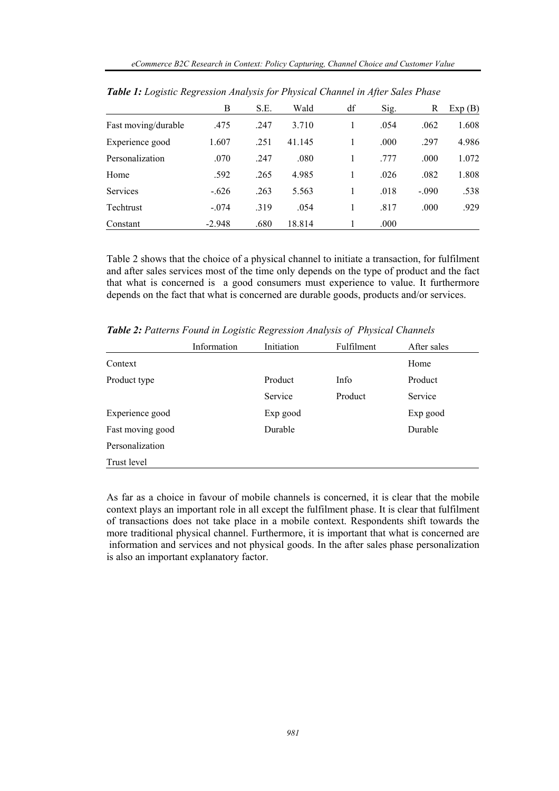|                     | В        | S.E. | Wald   | df | Sig. | R       | Exp(B) |
|---------------------|----------|------|--------|----|------|---------|--------|
| Fast moving/durable | .475     | .247 | 3.710  | 1  | .054 | .062    | 1.608  |
| Experience good     | 1.607    | .251 | 41.145 |    | .000 | .297    | 4.986  |
| Personalization     | .070     | .247 | .080   | 1  | .777 | .000    | 1.072  |
| Home                | .592     | .265 | 4.985  | 1  | .026 | .082    | 1.808  |
| Services            | $-.626$  | .263 | 5.563  |    | .018 | $-.090$ | .538   |
| Techtrust           | $-.074$  | .319 | .054   | 1  | .817 | .000    | .929   |
| Constant            | $-2.948$ | .680 | 18.814 |    | .000 |         |        |

*Table 1: Logistic Regression Analysis for Physical Channel in After Sales Phase* 

Table 2 shows that the choice of a physical channel to initiate a transaction, for fulfilment and after sales services most of the time only depends on the type of product and the fact that what is concerned is a good consumers must experience to value. It furthermore depends on the fact that what is concerned are durable goods, products and/or services.

*Table 2: Patterns Found in Logistic Regression Analysis of Physical Channels* 

|                  | Information | Initiation | Fulfilment | After sales |
|------------------|-------------|------------|------------|-------------|
| Context          |             |            |            | Home        |
| Product type     |             | Product    | Info       | Product     |
|                  |             | Service    | Product    | Service     |
| Experience good  |             | Exp good   |            | Exp good    |
| Fast moving good |             | Durable    |            | Durable     |
| Personalization  |             |            |            |             |
| Trust level      |             |            |            |             |

As far as a choice in favour of mobile channels is concerned, it is clear that the mobile context plays an important role in all except the fulfilment phase. It is clear that fulfilment of transactions does not take place in a mobile context. Respondents shift towards the more traditional physical channel. Furthermore, it is important that what is concerned are information and services and not physical goods. In the after sales phase personalization is also an important explanatory factor.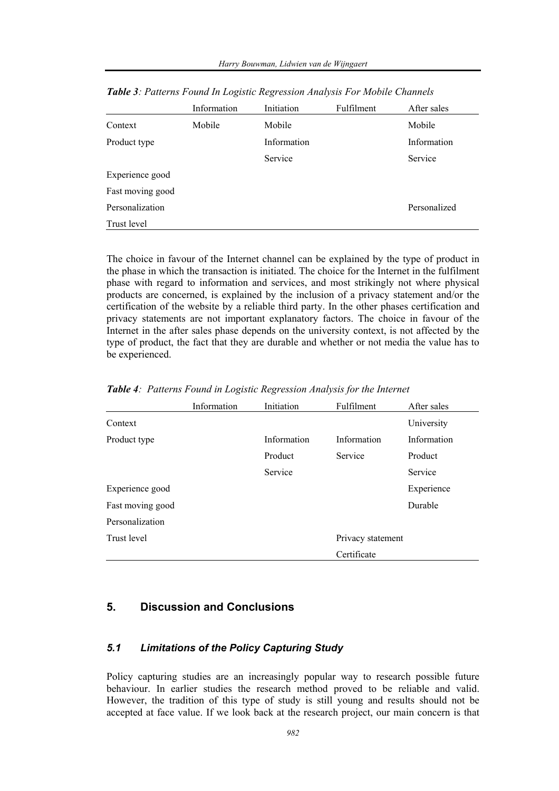|                  | Information | Initiation  | Fulfilment | After sales  |
|------------------|-------------|-------------|------------|--------------|
| Context          | Mobile      | Mobile      |            | Mobile       |
| Product type     |             | Information |            | Information  |
|                  |             | Service     |            | Service      |
| Experience good  |             |             |            |              |
| Fast moving good |             |             |            |              |
| Personalization  |             |             |            | Personalized |
| Trust level      |             |             |            |              |

*Table 3: Patterns Found In Logistic Regression Analysis For Mobile Channels* 

The choice in favour of the Internet channel can be explained by the type of product in the phase in which the transaction is initiated. The choice for the Internet in the fulfilment phase with regard to information and services, and most strikingly not where physical products are concerned, is explained by the inclusion of a privacy statement and/or the certification of the website by a reliable third party. In the other phases certification and privacy statements are not important explanatory factors. The choice in favour of the Internet in the after sales phase depends on the university context, is not affected by the type of product, the fact that they are durable and whether or not media the value has to be experienced.

|                  | Information | Initiation  | Fulfilment        | After sales |
|------------------|-------------|-------------|-------------------|-------------|
| Context          |             |             |                   | University  |
| Product type     |             | Information | Information       | Information |
|                  |             | Product     | Service           | Product     |
|                  |             | Service     |                   | Service     |
| Experience good  |             |             |                   | Experience  |
| Fast moving good |             |             |                   | Durable     |
| Personalization  |             |             |                   |             |
| Trust level      |             |             | Privacy statement |             |
|                  |             |             | Certificate       |             |

*Table 4: Patterns Found in Logistic Regression Analysis for the Internet* 

# **5. Discussion and Conclusions**

## *5.1 Limitations of the Policy Capturing Study*

Policy capturing studies are an increasingly popular way to research possible future behaviour. In earlier studies the research method proved to be reliable and valid. However, the tradition of this type of study is still young and results should not be accepted at face value. If we look back at the research project, our main concern is that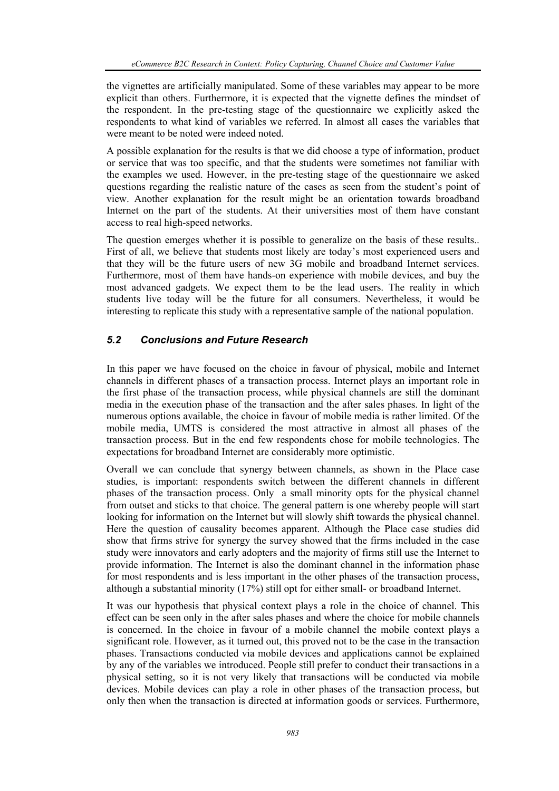the vignettes are artificially manipulated. Some of these variables may appear to be more explicit than others. Furthermore, it is expected that the vignette defines the mindset of the respondent. In the pre-testing stage of the questionnaire we explicitly asked the respondents to what kind of variables we referred. In almost all cases the variables that were meant to be noted were indeed noted.

A possible explanation for the results is that we did choose a type of information, product or service that was too specific, and that the students were sometimes not familiar with the examples we used. However, in the pre-testing stage of the questionnaire we asked questions regarding the realistic nature of the cases as seen from the student's point of view. Another explanation for the result might be an orientation towards broadband Internet on the part of the students. At their universities most of them have constant access to real high-speed networks.

The question emerges whether it is possible to generalize on the basis of these results.. First of all, we believe that students most likely are today's most experienced users and that they will be the future users of new 3G mobile and broadband Internet services. Furthermore, most of them have hands-on experience with mobile devices, and buy the most advanced gadgets. We expect them to be the lead users. The reality in which students live today will be the future for all consumers. Nevertheless, it would be interesting to replicate this study with a representative sample of the national population.

# *5.2 Conclusions and Future Research*

In this paper we have focused on the choice in favour of physical, mobile and Internet channels in different phases of a transaction process. Internet plays an important role in the first phase of the transaction process, while physical channels are still the dominant media in the execution phase of the transaction and the after sales phases. In light of the numerous options available, the choice in favour of mobile media is rather limited. Of the mobile media, UMTS is considered the most attractive in almost all phases of the transaction process. But in the end few respondents chose for mobile technologies. The expectations for broadband Internet are considerably more optimistic.

Overall we can conclude that synergy between channels, as shown in the Place case studies, is important: respondents switch between the different channels in different phases of the transaction process. Only a small minority opts for the physical channel from outset and sticks to that choice. The general pattern is one whereby people will start looking for information on the Internet but will slowly shift towards the physical channel. Here the question of causality becomes apparent. Although the Place case studies did show that firms strive for synergy the survey showed that the firms included in the case study were innovators and early adopters and the majority of firms still use the Internet to provide information. The Internet is also the dominant channel in the information phase for most respondents and is less important in the other phases of the transaction process, although a substantial minority (17%) still opt for either small- or broadband Internet.

It was our hypothesis that physical context plays a role in the choice of channel. This effect can be seen only in the after sales phases and where the choice for mobile channels is concerned. In the choice in favour of a mobile channel the mobile context plays a significant role. However, as it turned out, this proved not to be the case in the transaction phases. Transactions conducted via mobile devices and applications cannot be explained by any of the variables we introduced. People still prefer to conduct their transactions in a physical setting, so it is not very likely that transactions will be conducted via mobile devices. Mobile devices can play a role in other phases of the transaction process, but only then when the transaction is directed at information goods or services. Furthermore,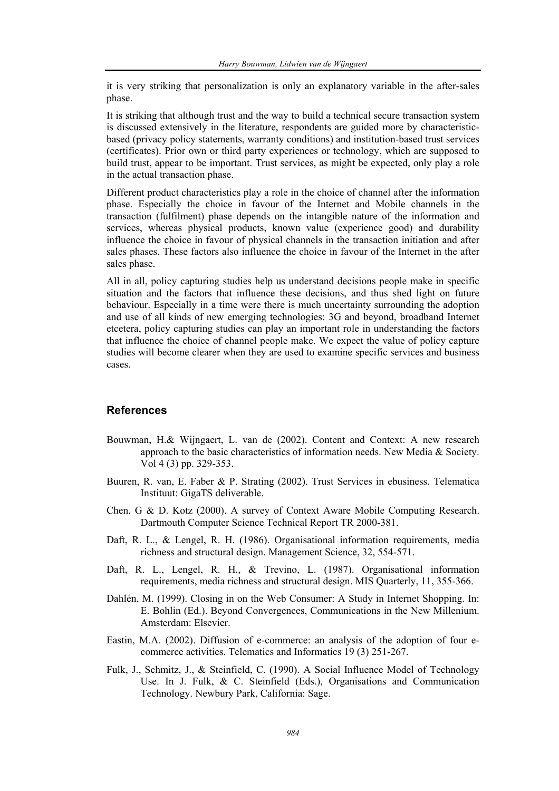it is very striking that personalization is only an explanatory variable in the after-sales phase.

It is striking that although trust and the way to build a technical secure transaction system is discussed extensively in the literature, respondents are guided more by characteristicbased (privacy policy statements, warranty conditions) and institution-based trust services (certificates). Prior own or third party experiences or technology, which are supposed to build trust, appear to be important. Trust services, as might be expected, only play a role in the actual transaction phase.

Different product characteristics play a role in the choice of channel after the information phase. Especially the choice in favour of the Internet and Mobile channels in the transaction (fulfilment) phase depends on the intangible nature of the information and services, whereas physical products, known value (experience good) and durability influence the choice in favour of physical channels in the transaction initiation and after sales phases. These factors also influence the choice in favour of the Internet in the after sales phase.

All in all, policy capturing studies help us understand decisions people make in specific situation and the factors that influence these decisions, and thus shed light on future behaviour. Especially in a time were there is much uncertainty surrounding the adoption and use of all kinds of new emerging technologies: 3G and beyond, broadband Internet etcetera, policy capturing studies can play an important role in understanding the factors that influence the choice of channel people make. We expect the value of policy capture studies will become clearer when they are used to examine specific services and business cases.

#### **References**

- Bouwman, H.& Wijngaert, L. van de (2002). Content and Context: A new research approach to the basic characteristics of information needs. New Media & Society. Vol 4 (3) pp. 329-353.
- Buuren, R. van, E. Faber & P. Strating (2002). Trust Services in ebusiness. Telematica Instituut: GigaTS deliverable.
- Chen, G & D. Kotz (2000). A survey of Context Aware Mobile Computing Research. Dartmouth Computer Science Technical Report TR 2000-381.
- Daft, R. L., & Lengel, R. H. (1986). Organisational information requirements, media richness and structural design. Management Science, 32, 554-571.
- Daft, R. L., Lengel, R. H., & Trevino, L. (1987). Organisational information requirements, media richness and structural design. MIS Quarterly, 11, 355-366.
- Dahlén, M. (1999). Closing in on the Web Consumer: A Study in Internet Shopping. In: E. Bohlin (Ed.). Beyond Convergences, Communications in the New Millenium. Amsterdam: Elsevier.
- Eastin, M.A. (2002). Diffusion of e-commerce: an analysis of the adoption of four ecommerce activities. Telematics and Informatics 19 (3) 251-267.
- Fulk, J., Schmitz, J., & Steinfield, C. (1990). A Social Influence Model of Technology Use. In J. Fulk, & C. Steinfield (Eds.), Organisations and Communication Technology. Newbury Park, California: Sage.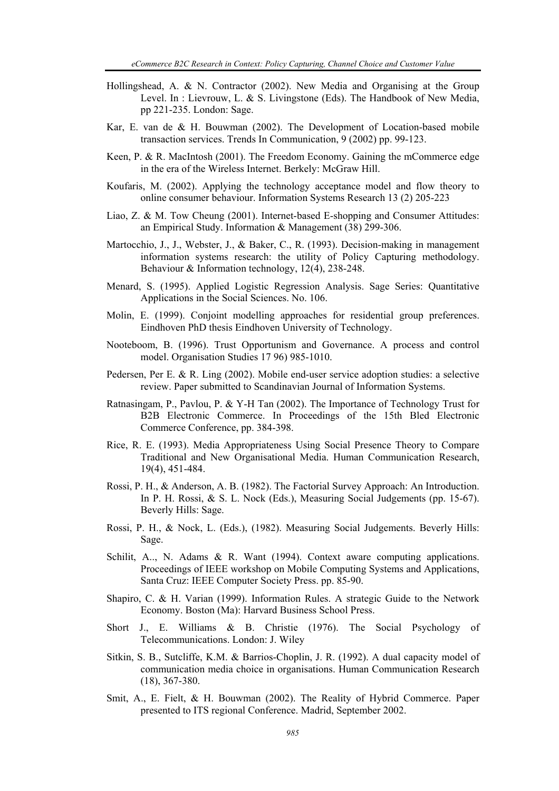- Hollingshead, A. & N. Contractor (2002). New Media and Organising at the Group Level. In : Lievrouw, L. & S. Livingstone (Eds). The Handbook of New Media, pp 221-235. London: Sage.
- Kar, E. van de & H. Bouwman (2002). The Development of Location-based mobile transaction services. Trends In Communication, 9 (2002) pp. 99-123.
- Keen, P. & R. MacIntosh (2001). The Freedom Economy. Gaining the mCommerce edge in the era of the Wireless Internet. Berkely: McGraw Hill.
- Koufaris, M. (2002). Applying the technology acceptance model and flow theory to online consumer behaviour. Information Systems Research 13 (2) 205-223
- Liao, Z. & M. Tow Cheung (2001). Internet-based E-shopping and Consumer Attitudes: an Empirical Study. Information & Management (38) 299-306.
- Martocchio, J., J., Webster, J., & Baker, C., R. (1993). Decision-making in management information systems research: the utility of Policy Capturing methodology. Behaviour & Information technology, 12(4), 238-248.
- Menard, S. (1995). Applied Logistic Regression Analysis. Sage Series: Quantitative Applications in the Social Sciences. No. 106.
- Molin, E. (1999). Conjoint modelling approaches for residential group preferences. Eindhoven PhD thesis Eindhoven University of Technology.
- Nooteboom, B. (1996). Trust Opportunism and Governance. A process and control model. Organisation Studies 17 96) 985-1010.
- Pedersen, Per E. & R. Ling (2002). Mobile end-user service adoption studies: a selective review. Paper submitted to Scandinavian Journal of Information Systems.
- Ratnasingam, P., Pavlou, P. & Y-H Tan (2002). The Importance of Technology Trust for B2B Electronic Commerce. In Proceedings of the 15th Bled Electronic Commerce Conference, pp. 384-398.
- Rice, R. E. (1993). Media Appropriateness Using Social Presence Theory to Compare Traditional and New Organisational Media. Human Communication Research, 19(4), 451-484.
- Rossi, P. H., & Anderson, A. B. (1982). The Factorial Survey Approach: An Introduction. In P. H. Rossi, & S. L. Nock (Eds.), Measuring Social Judgements (pp. 15-67). Beverly Hills: Sage.
- Rossi, P. H., & Nock, L. (Eds.), (1982). Measuring Social Judgements. Beverly Hills: Sage.
- Schilit, A.., N. Adams & R. Want (1994). Context aware computing applications. Proceedings of IEEE workshop on Mobile Computing Systems and Applications, Santa Cruz: IEEE Computer Society Press. pp. 85-90.
- Shapiro, C. & H. Varian (1999). Information Rules. A strategic Guide to the Network Economy. Boston (Ma): Harvard Business School Press.
- Short J., E. Williams & B. Christie (1976). The Social Psychology of Telecommunications. London: J. Wiley
- Sitkin, S. B., Sutcliffe, K.M. & Barrios-Choplin, J. R. (1992). A dual capacity model of communication media choice in organisations. Human Communication Research (18), 367-380.
- Smit, A., E. Fielt, & H. Bouwman (2002). The Reality of Hybrid Commerce. Paper presented to ITS regional Conference. Madrid, September 2002.